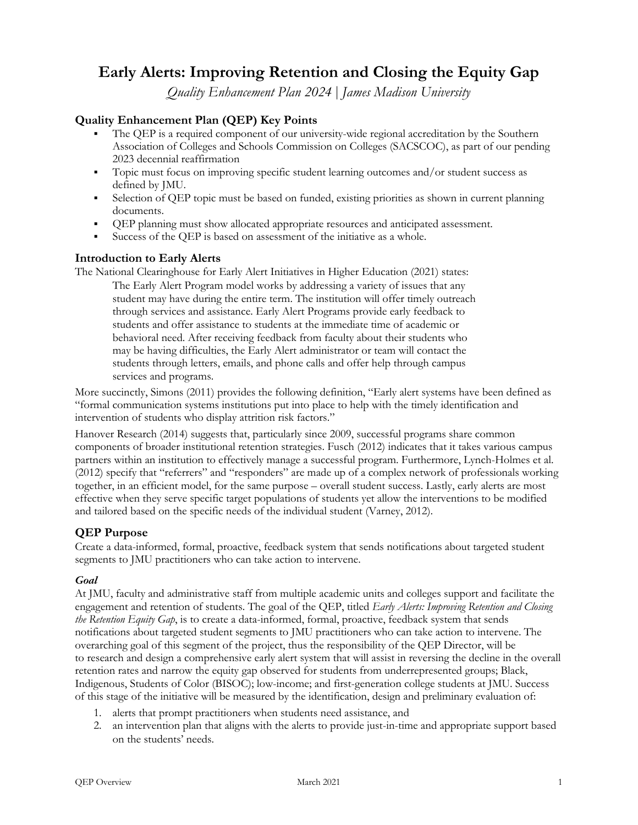# **Early Alerts: Improving Retention and Closing the Equity Gap**

*Quality Enhancement Plan 2024* | *James Madison University*

# **Quality Enhancement Plan (QEP) Key Points**

- The OEP is a required component of our university-wide regional accreditation by the Southern Association of Colleges and Schools Commission on Colleges (SACSCOC), as part of our pending 2023 decennial reaffirmation
- Topic must focus on improving specific student learning outcomes and/or student success as defined by JMU.
- Selection of QEP topic must be based on funded, existing priorities as shown in current planning documents.
- § QEP planning must show allocated appropriate resources and anticipated assessment.
- § Success of the QEP is based on assessment of the initiative as a whole.

## **Introduction to Early Alerts**

The National Clearinghouse for Early Alert Initiatives in Higher Education (2021) states: The Early Alert Program model works by addressing a variety of issues that any student may have during the entire term. The institution will offer timely outreach through services and assistance. Early Alert Programs provide early feedback to students and offer assistance to students at the immediate time of academic or behavioral need. After receiving feedback from faculty about their students who may be having difficulties, the Early Alert administrator or team will contact the students through letters, emails, and phone calls and offer help through campus services and programs.

More succinctly, Simons (2011) provides the following definition, "Early alert systems have been defined as "formal communication systems institutions put into place to help with the timely identification and intervention of students who display attrition risk factors."

Hanover Research (2014) suggests that, particularly since 2009, successful programs share common components of broader institutional retention strategies. Fusch (2012) indicates that it takes various campus partners within an institution to effectively manage a successful program. Furthermore, Lynch-Holmes et al. (2012) specify that "referrers" and "responders" are made up of a complex network of professionals working together, in an efficient model, for the same purpose – overall student success. Lastly, early alerts are most effective when they serve specific target populations of students yet allow the interventions to be modified and tailored based on the specific needs of the individual student (Varney, 2012).

## **QEP Purpose**

Create a data-informed, formal, proactive, feedback system that sends notifications about targeted student segments to JMU practitioners who can take action to intervene.

#### *Goal*

At JMU, faculty and administrative staff from multiple academic units and colleges support and facilitate the engagement and retention of students. The goal of the QEP, titled *Early Alerts: Improving Retention and Closing the Retention Equity Gap*, is to create a data-informed, formal, proactive, feedback system that sends notifications about targeted student segments to JMU practitioners who can take action to intervene. The overarching goal of this segment of the project, thus the responsibility of the QEP Director, will be to research and design a comprehensive early alert system that will assist in reversing the decline in the overall retention rates and narrow the equity gap observed for students from underrepresented groups; Black, Indigenous, Students of Color (BISOC); low-income; and first-generation college students at JMU. Success of this stage of the initiative will be measured by the identification, design and preliminary evaluation of:

- 1. alerts that prompt practitioners when students need assistance, and
- 2. an intervention plan that aligns with the alerts to provide just-in-time and appropriate support based on the students' needs.